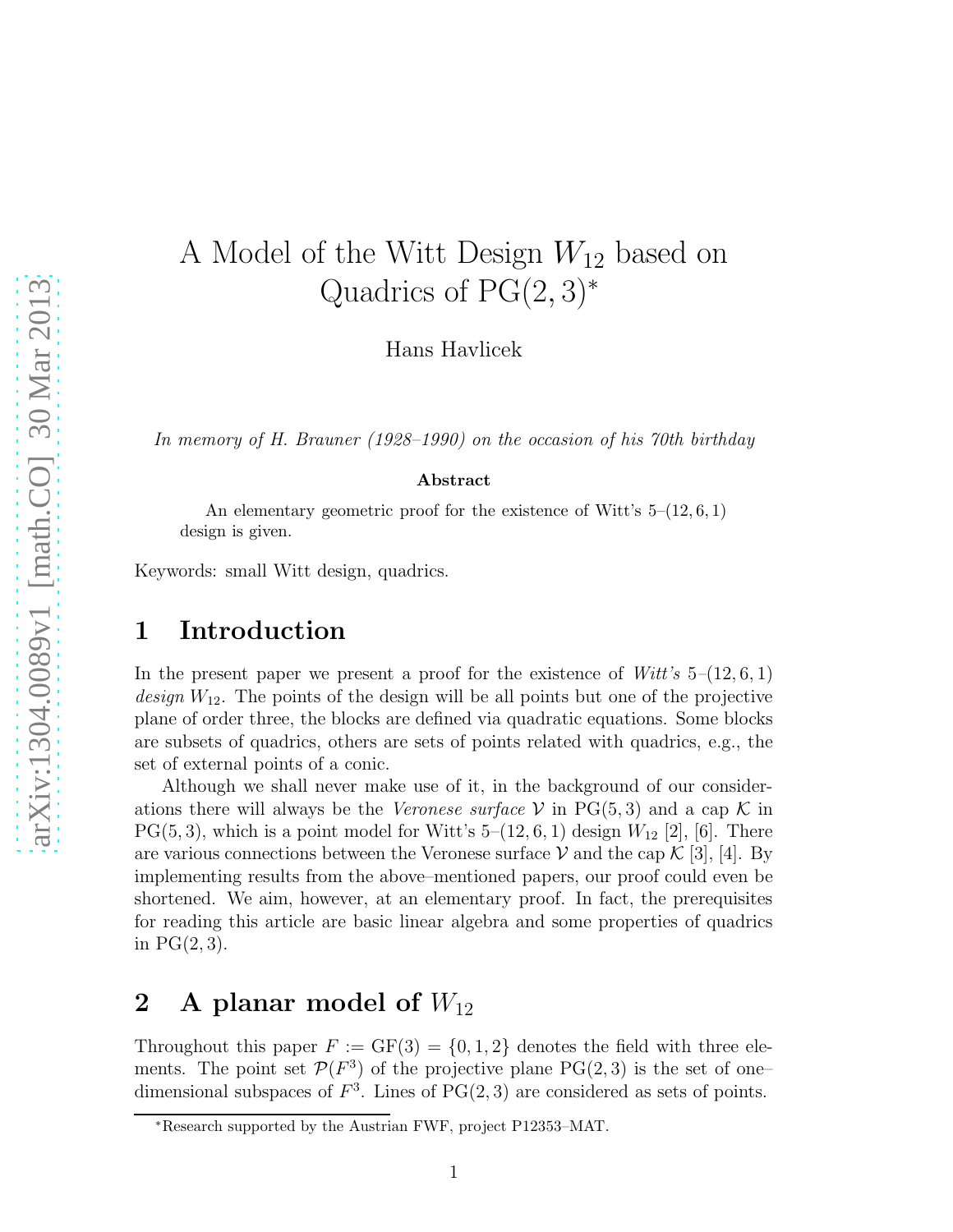# A Model of the Witt Design  $W_{12}$  based on Quadrics of  $PG(2, 3)$ <sup>\*</sup>

Hans Havlicek

*In memory of H. Brauner (1928–1990) on the occasion of his 70th birthday*

#### Abstract

An elementary geometric proof for the existence of Witt's  $5-(12,6,1)$ design is given.

Keywords: small Witt design, quadrics.

#### 1 Introduction

In the present paper we present a proof for the existence of *Witt's* 5*–*(12, 6, 1)  $design W_{12}$ . The points of the design will be all points but one of the projective plane of order three, the blocks are defined via quadratic equations. Some blocks are subsets of quadrics, others are sets of points related with quadrics, e.g., the set of external points of a conic.

Although we shall never make use of it, in the background of our considerations there will always be the *Veronese surface*  $V$  in PG(5,3) and a cap  $K$  in  $PG(5,3)$ , which is a point model for Witt's  $5-(12,6,1)$  design  $W_{12}$  [2], [6]. There are various connections between the Veronese surface  $V$  and the cap  $K$  [3], [4]. By implementing results from the above–mentioned papers, our proof could even be shortened. We aim, however, at an elementary proof. In fact, the prerequisites for reading this article are basic linear algebra and some properties of quadrics in  $PG(2,3)$ .

## 2 A planar model of  $W_{12}$

Throughout this paper  $F := GF(3) = \{0, 1, 2\}$  denotes the field with three elements. The point set  $\mathcal{P}(F^3)$  of the projective plane PG(2,3) is the set of onedimensional subspaces of  $F^3$ . Lines of PG(2,3) are considered as sets of points.

<sup>∗</sup>Research supported by the Austrian FWF, project P12353–MAT.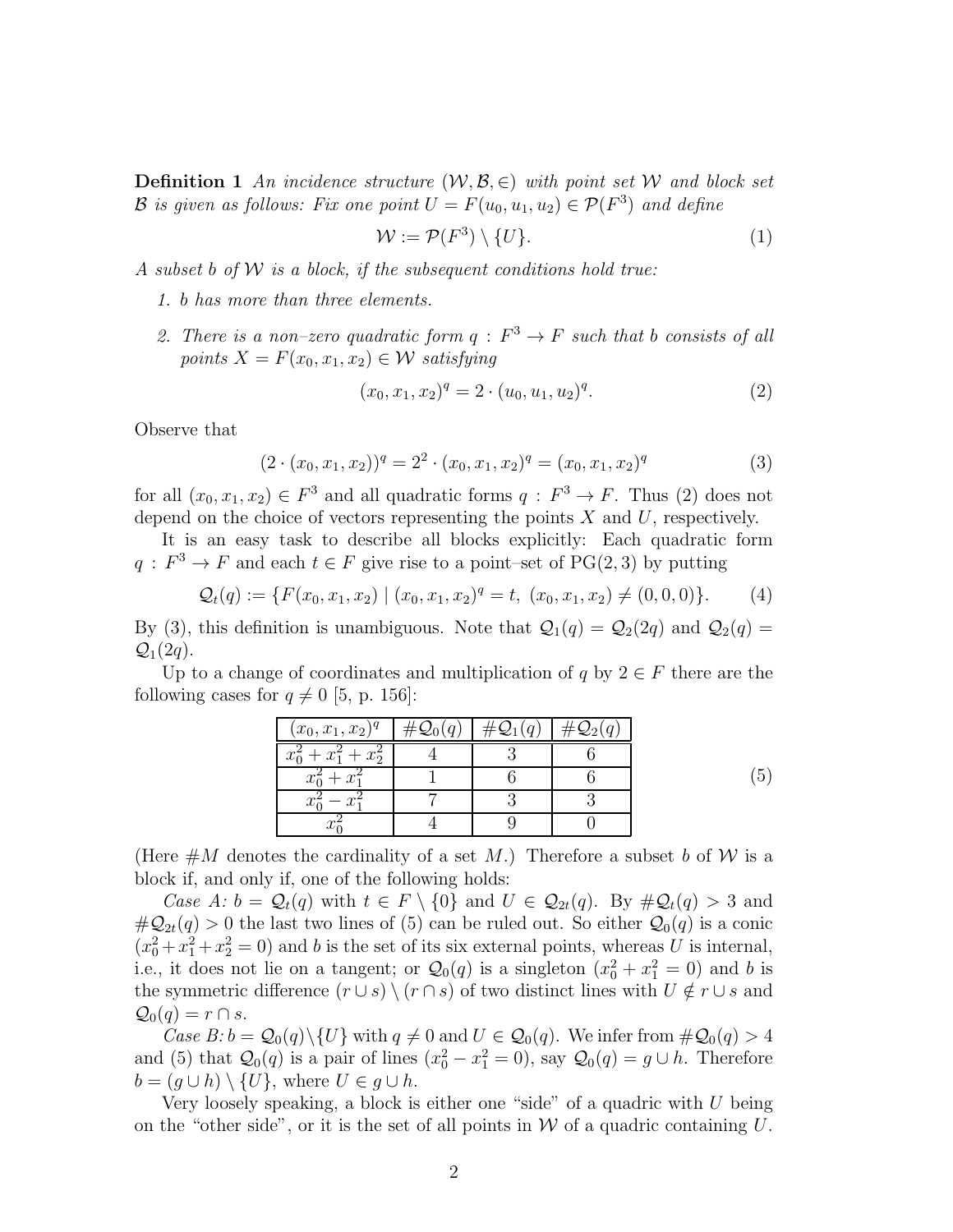**Definition 1** An incidence structure  $(W, \mathcal{B}, \in)$  with point set W and block set B is given as follows: Fix one point  $U = F(u_0, u_1, u_2) \in \mathcal{P}(F^3)$  and define

$$
\mathcal{W} := \mathcal{P}(F^3) \setminus \{U\}.
$$
 (1)

*A subset* b *of* W *is a block, if the subsequent conditions hold true:*

- *1.* b *has more than three elements.*
- 2. There is a non-zero quadratic form  $q : F^3 \to F$  such that b consists of all *points*  $X = F(x_0, x_1, x_2) \in W$  *satisfying*

$$
(x_0, x_1, x_2)^q = 2 \cdot (u_0, u_1, u_2)^q. \tag{2}
$$

Observe that

$$
(2 \cdot (x_0, x_1, x_2))^q = 2^2 \cdot (x_0, x_1, x_2)^q = (x_0, x_1, x_2)^q \tag{3}
$$

for all  $(x_0, x_1, x_2) \in F^3$  and all quadratic forms  $q : F^3 \to F$ . Thus (2) does not depend on the choice of vectors representing the points  $X$  and  $U$ , respectively.

It is an easy task to describe all blocks explicitly: Each quadratic form  $q: F^3 \to F$  and each  $t \in F$  give rise to a point–set of PG(2,3) by putting

$$
Q_t(q) := \{ F(x_0, x_1, x_2) \mid (x_0, x_1, x_2)^q = t, \ (x_0, x_1, x_2) \neq (0, 0, 0) \}. \tag{4}
$$

By (3), this definition is unambiguous. Note that  $\mathcal{Q}_1(q) = \mathcal{Q}_2(2q)$  and  $\mathcal{Q}_2(q) =$  $\mathcal{Q}_1(2q)$ .

Up to a change of coordinates and multiplication of q by  $2 \in F$  there are the following cases for  $q \neq 0$  [5, p. 156]:

| $(x_0, x_1, x_2)^q$           | । #⊻⊕ |  |  |
|-------------------------------|-------|--|--|
| $x_0^2$<br>$+ x_1^2 + x_2^2$  |       |  |  |
| $x_{0}^{2}$<br>$x^{\epsilon}$ |       |  |  |
| $\sim$<br>                    |       |  |  |
|                               |       |  |  |

(Here  $\#M$  denotes the cardinality of a set M.) Therefore a subset b of W is a block if, and only if, one of the following holds:

*Case A:*  $b = Q_t(q)$  with  $t \in F \setminus \{0\}$  and  $U \in Q_{2t}(q)$ . By  $\#\mathcal{Q}_t(q) > 3$  and  $\#\mathcal{Q}_{2t}(q) > 0$  the last two lines of (5) can be ruled out. So either  $\mathcal{Q}_0(q)$  is a conic  $(x_0^2 + x_1^2 + x_2^2 = 0)$  and b is the set of its six external points, whereas U is internal, i.e., it does not lie on a tangent; or  $\mathcal{Q}_0(q)$  is a singleton  $(x_0^2 + x_1^2 = 0)$  and b is the symmetric difference  $(r \cup s) \setminus (r \cap s)$  of two distinct lines with  $U \notin r \cup s$  and  $\mathcal{Q}_0(q) = r \cap s.$ 

*Case B:*  $b = Q_0(q) \setminus \{U\}$  with  $q \neq 0$  and  $U \in Q_0(q)$ . We infer from  $\#Q_0(q) > 4$ and (5) that  $\mathcal{Q}_0(q)$  is a pair of lines  $(x_0^2 - x_1^2 = 0)$ , say  $\mathcal{Q}_0(q) = g \cup h$ . Therefore  $b = (g \cup h) \setminus \{U\}$ , where  $U \in g \cup h$ .

Very loosely speaking, a block is either one "side" of a quadric with  $U$  being on the "other side", or it is the set of all points in  $W$  of a quadric containing U.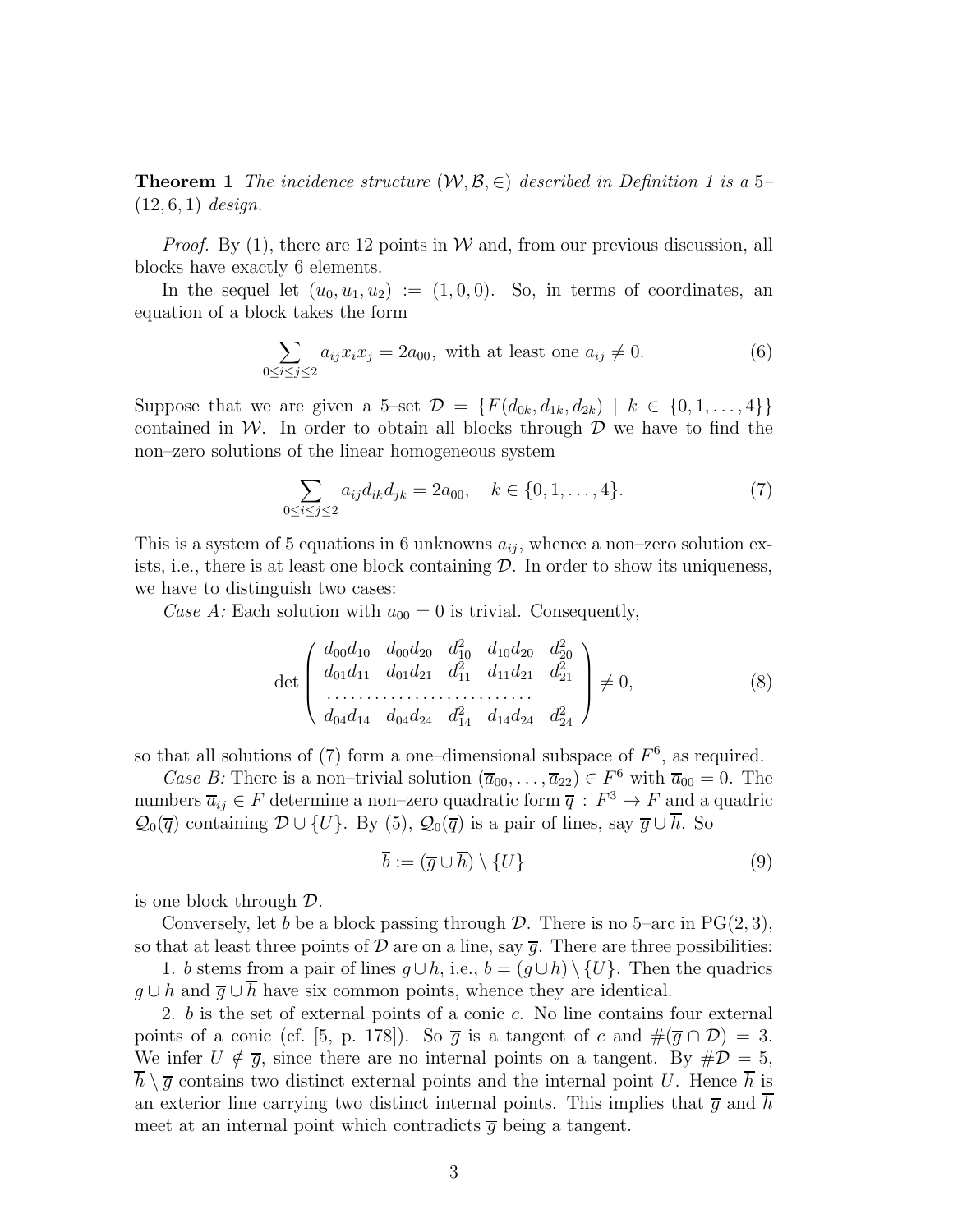**Theorem 1** *The incidence structure*  $(W, \mathcal{B}, \in)$  *described in Definition 1 is a* 5– (12, 6, 1) *design.*

*Proof.* By (1), there are 12 points in  $W$  and, from our previous discussion, all blocks have exactly 6 elements.

In the sequel let  $(u_0, u_1, u_2) := (1, 0, 0)$ . So, in terms of coordinates, an equation of a block takes the form

$$
\sum_{0 \le i \le j \le 2} a_{ij} x_i x_j = 2a_{00}, \text{ with at least one } a_{ij} \neq 0. \tag{6}
$$

Suppose that we are given a 5–set  $\mathcal{D} = \{F(d_{0k}, d_{1k}, d_{2k}) \mid k \in \{0, 1, \ldots, 4\}\}\$ contained in W. In order to obtain all blocks through  $\mathcal D$  we have to find the non–zero solutions of the linear homogeneous system

$$
\sum_{0 \le i \le j \le 2} a_{ij} d_{ik} d_{jk} = 2a_{00}, \quad k \in \{0, 1, \dots, 4\}.
$$
 (7)

This is a system of 5 equations in 6 unknowns  $a_{ij}$ , whence a non–zero solution exists, i.e., there is at least one block containing  $\mathcal{D}$ . In order to show its uniqueness, we have to distinguish two cases:

*Case A:* Each solution with  $a_{00} = 0$  is trivial. Consequently,

$$
\det \begin{pmatrix} d_{00}d_{10} & d_{00}d_{20} & d_{10}^2 & d_{10}d_{20} & d_{20}^2 \\ d_{01}d_{11} & d_{01}d_{21} & d_{11}^2 & d_{11}d_{21} & d_{21}^2 \\ \cdots & \cdots & \cdots & \cdots & \cdots & \cdots \\ d_{04}d_{14} & d_{04}d_{24} & d_{14}^2 & d_{14}d_{24} & d_{24}^2 \end{pmatrix} \neq 0,
$$
 (8)

so that all solutions of  $(7)$  form a one-dimensional subspace of  $F<sup>6</sup>$ , as required.

*Case B:* There is a non–trivial solution  $(\overline{a}_{00}, \ldots, \overline{a}_{22}) \in F^6$  with  $\overline{a}_{00} = 0$ . The numbers  $\overline{a}_{ij} \in F$  determine a non–zero quadratic form  $\overline{q}$  :  $F^3 \to F$  and a quadric  $\mathcal{Q}_0(\overline{q})$  containing  $\mathcal{D} \cup \{U\}$ . By (5),  $\mathcal{Q}_0(\overline{q})$  is a pair of lines, say  $\overline{g} \cup \overline{h}$ . So

$$
\overline{b} := (\overline{g} \cup \overline{h}) \setminus \{U\} \tag{9}
$$

is one block through D.

Conversely, let b be a block passing through  $\mathcal D$ . There is no 5–arc in PG(2,3), so that at least three points of  $\mathcal D$  are on a line, say  $\overline{g}$ . There are three possibilities:

1. b stems from a pair of lines  $g \cup h$ , i.e.,  $b = (g \cup h) \setminus \{U\}$ . Then the quadrics  $g \cup h$  and  $\overline{g} \cup h$  have six common points, whence they are identical.

2. b is the set of external points of a conic c. No line contains four external points of a conic (cf. [5, p. 178]). So  $\bar{g}$  is a tangent of c and  $\#(\bar{g} \cap \mathcal{D}) = 3$ . We infer  $U \notin \overline{g}$ , since there are no internal points on a tangent. By  $\#\mathcal{D} = 5$ ,  $h \setminus \overline{g}$  contains two distinct external points and the internal point U. Hence h is an exterior line carrying two distinct internal points. This implies that  $\overline{q}$  and  $\overline{h}$ meet at an internal point which contradicts  $\overline{g}$  being a tangent.